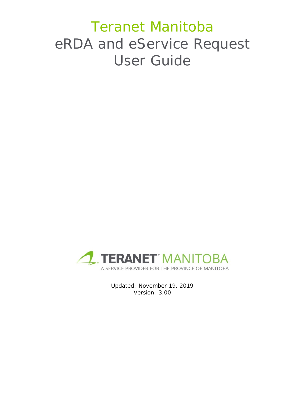# Teranet Manitoba eRDA and eService Request User Guide



Updated: November 19, 2019 Version: 3.00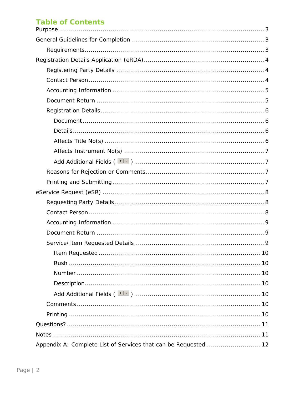# **Table of Contents**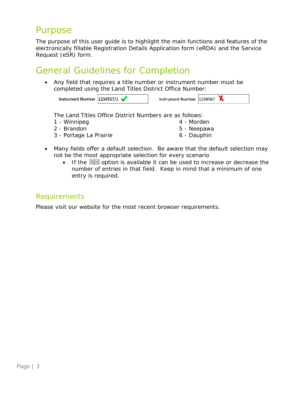# <span id="page-2-0"></span>Purpose

The purpose of this user guide is to highlight the main functions and features of the electronically fillable Registration Details Application form (eRDA) and the Service Request (eSR) form.

# <span id="page-2-1"></span>General Guidelines for Completion

• Any field that requires a title number or instrument number must be completed using the Land Titles District Office Number:

Instrument Number 1234567/1

Instrument Number 1234567

The Land Titles Office District Numbers are as follows:

- 1 Winnipeg
- 2 Brandon
- 3 Portage La Prairie

4 - Morden

- 5 Neepawa
- 6 Dauphin
- Many fields offer a default selection. Be aware that the default selection may not be the most appropriate selection for every scenario
	- If the  $\pm$  option is available it can be used to increase or decrease the number of entries in that field. Keep in mind that a minimum of one entry is required.

### <span id="page-2-2"></span>Requirements

Please visit our website for the most recent browser requirements.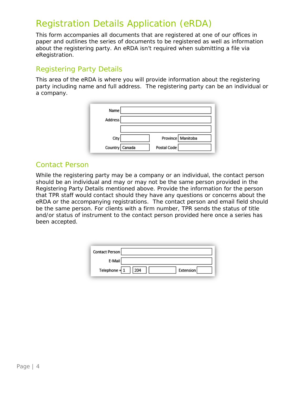# <span id="page-3-0"></span>Registration Details Application (eRDA)

This form accompanies all documents that are registered at one of our offices in paper and outlines the series of documents to be registered as well as information about the registering party. An eRDA isn't required when submitting a file via eRegistration.

# <span id="page-3-1"></span>Registering Party Details

This area of the eRDA is where you will provide information about the registering party including name and full address. The registering party can be an individual or a company.

| Name             |             |                   |
|------------------|-------------|-------------------|
| Address          |             |                   |
|                  |             |                   |
| City             |             | Province Manitoba |
| Country   Canada | Postal Code |                   |

### <span id="page-3-2"></span>Contact Person

While the registering party may be a company or an individual, the contact person should be an individual and may or may not be the same person provided in the Registering Party Details mentioned above. Provide the information for the person that TPR staff would contact should they have any questions or concerns about the eRDA or the accompanying registrations. The contact person and email field should be the same person. For clients with a firm number, TPR sends the status of title and/or status of instrument to the contact person provided here once a series has been accepted.

<span id="page-3-3"></span>

| Contact Person |                  |
|----------------|------------------|
| E-Mail         |                  |
| Telephone $+1$ | Extension<br>204 |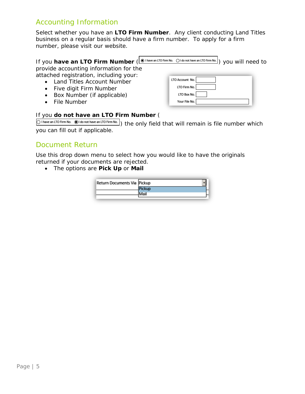# Accounting Information

Select whether you have an **LTO Firm Number**. Any client conducting Land Titles business on a regular basis should have a firm number. To apply for a firm number, please visit our website.

|                                                                                                                                                     | If you have an LTO Firm Number $(\circledast$ Thave an LTO Firm No. Of do not have an LTO Firm No.) you will need to |
|-----------------------------------------------------------------------------------------------------------------------------------------------------|----------------------------------------------------------------------------------------------------------------------|
| provide accounting information for the                                                                                                              |                                                                                                                      |
| attached registration, including your:<br>• Land Titles Account Number<br>• Five digit Firm Number<br>• Box Number (if applicable)<br>• File Number | LTO Account No.<br>LTO Firm No.<br>LTO Box No.<br>Your File No.                                                      |

#### If you **do not have an LTO Firm Number** (

 $\overline{\bigcirc$  Thave an LTO Firm No.  $\circledast$  I do not have an LTO Firm No.  $\}$  the only field that will remain is file number which you can fill out if applicable.

### <span id="page-4-0"></span>Document Return

Use this drop down menu to select how you would like to have the originals returned if your documents are rejected.

• The options are **Pick Up** or **Mail**

| Return Documents Via Pickup |  |
|-----------------------------|--|
|                             |  |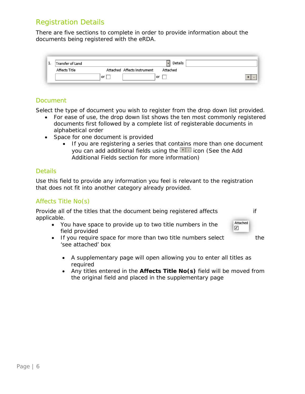### <span id="page-5-0"></span>Registration Details

There are five sections to complete in order to provide information about the documents being registered with the eRDA.

| д., | Transfer of Land     |                             | Details  |  |
|-----|----------------------|-----------------------------|----------|--|
|     | <b>Affects Title</b> | Attached Affects Instrument | Attached |  |
|     |                      | or                          | or       |  |

### <span id="page-5-1"></span>*Document*

Select the type of document you wish to register from the drop down list provided.

- For ease of use, the drop down list shows the ten most commonly registered documents first followed by a complete list of registerable documents in alphabetical order
- Space for one document is provided
	- If you are registering a series that contains more than one document you can add additional fields using the icon (See the *Add Additional Fields* section for more information)

#### <span id="page-5-2"></span>*Details*

Use this field to provide any information you feel is relevant to the registration that does not fit into another category already provided.

### <span id="page-5-3"></span>*Affects Title No(s)*

Provide all of the titles that the document being registered affects if applicable.

Attached ✓

- You have space to provide up to two title numbers in the field provided
- <span id="page-5-4"></span>• If you require space for more than two title numbers select the 'see attached' box
	- A supplementary page will open allowing you to enter all titles as required
	- Any titles entered in the **Affects Title No(s)** field will be moved from the original field and placed in the supplementary page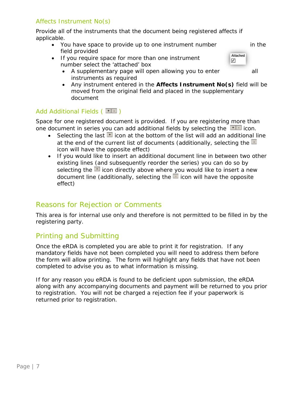### *Affects Instrument No(s)*

Provide all of the instruments that the document being registered affects if applicable.

- You have space to provide up to one instrument number in the field provided
- If you require space for more than one instrument number select the 'attached' box
	- A supplementary page will open allowing you to enter all instruments as required
	- Any instrument entered in the **Affects Instrument No(s)** field will be moved from the original field and placed in the supplementary document

### <span id="page-6-0"></span>*Add Additional Fields (* $\boxed{1}$ *)*

Space for one registered document is provided. If you are registering more than one document in series you can add additional fields by selecting the  $\Box$  icon.

- Selecting the last  $\pm$  icon at the bottom of the list will add an additional line at the end of the current list of documents (additionally, selecting the  $\Box$ icon will have the opposite effect)
- If you would like to insert an additional document line in between two other existing lines (and subsequently reorder the series) you can do so by selecting the  $\pm$  icon directly above where you would like to insert a new document line (additionally, selecting the  $\Box$  icon will have the opposite effect)

# <span id="page-6-1"></span>Reasons for Rejection or Comments

This area is for internal use only and therefore is not permitted to be filled in by the registering party.

# <span id="page-6-2"></span>Printing and Submitting

Once the eRDA is completed you are able to print it for registration. If any mandatory fields have not been completed you will need to address them before the form will allow printing. The form will highlight any fields that have not been completed to advise you as to what information is missing.

If for any reason you eRDA is found to be deficient upon submission, the eRDA along with any accompanying documents and payment will be returned to you prior to registration. You will not be charged a rejection fee if your paperwork is returned prior to registration.

Attached ✓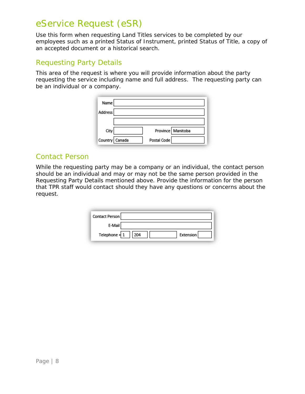# <span id="page-7-0"></span>eService Request (eSR)

Use this form when requesting Land Titles services to be completed by our employees such as a printed Status of Instrument, printed Status of Title, a copy of an accepted document or a historical search.

### <span id="page-7-1"></span>Requesting Party Details

This area of the request is where you will provide information about the party requesting the service including name and full address. The requesting party can be an individual or a company.

| Name           |                   |
|----------------|-------------------|
| Address        |                   |
|                |                   |
| City           | Province Manitoba |
| Country Canada | Postal Code       |

### <span id="page-7-2"></span>Contact Person

While the requesting party may be a company or an individual, the contact person should be an individual and may or may not be the same person provided in the Requesting Party Details mentioned above. Provide the information for the person that TPR staff would contact should they have any questions or concerns about the request.

| Contact Person |                  |
|----------------|------------------|
| E-Mail         |                  |
| Telephone $+1$ | Extension<br>204 |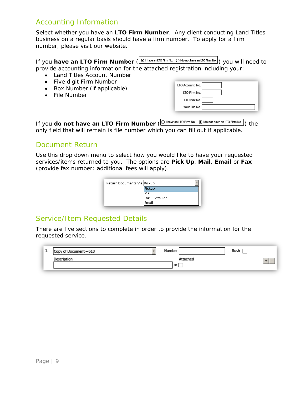# <span id="page-8-0"></span>Accounting Information

Select whether you have an **LTO Firm Number**. Any client conducting Land Titles business on a regular basis should have a firm number. To apply for a firm number, please visit our website.

| If you have an LTO Firm Number $(\bigcirc$ Thave an LTO Firm No. Of do not have an LTO Firm No.) you will need to |  |
|-------------------------------------------------------------------------------------------------------------------|--|
| provide accounting information for the attached registration including your:                                      |  |

- Land Titles Account Number
- Five digit Firm Number
- Box Number (if applicable)
- File Number

| LTO Account No. |
|-----------------|
| LTO Firm No.    |
| LTO Box No.     |
| Your File No.   |

If you **do not have an LTO Firm Number** ( $\overline{O}$  I have an LTO Firm No. (BI do not have an LTO Firm No.) the only field that will remain is file number which you can fill out if applicable.

### <span id="page-8-1"></span>Document Return

Use this drop down menu to select how you would like to have your requested services/items returned to you. The options are **Pick Up**, **Mail**, **Email** or **Fax** (provide fax number; additional fees will apply).



# <span id="page-8-2"></span>Service/Item Requested Details

There are five sections to complete in order to provide the information for the requested service.

| T. | Copy of Document - 610 | Number   | Rush   |  |
|----|------------------------|----------|--------|--|
|    | Description            | Attached | ۰<br>- |  |
|    |                        | or       |        |  |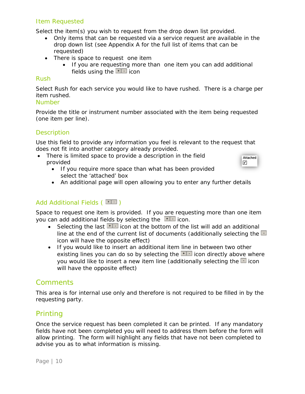### <span id="page-9-0"></span>*Item Requested*

Select the item(s) you wish to request from the drop down list provided.

- Only items that can be requested via a service request are available in the drop down list (see *Appendix A* for the full list of items that can be requested)
- There is space to request one item
	- If you are requesting more than one item you can add additional fields using the  $\pm$  icon

#### <span id="page-9-1"></span>*Rush*

Select Rush for each service you would like to have rushed. There is a charge per item rushed.

#### <span id="page-9-2"></span>*Number*

Provide the title or instrument number associated with the item being requested (one item per line).

#### <span id="page-9-3"></span>**Description**

Use this field to provide any information you feel is relevant to the request that does not fit into another category already provided.

• There is limited space to provide a description in the field provided



- If you require more space than what has been provided select the 'attached' box
- An additional page will open allowing you to enter any further details

### <span id="page-9-4"></span>*Add Additional Fields (* $\boxed{11}$ *)*

Space to request one item is provided. If you are requesting more than one item you can add additional fields by selecting the  $\pm\pm\frac{1}{2}$  icon.

- Selecting the last  $\frac{1}{1}$  icon at the bottom of the list will add an additional line at the end of the current list of documents (additionally selecting the  $\Box$ icon will have the opposite effect)
- If you would like to insert an additional item line in between two other existing lines you can do so by selecting the  $\pm 1$  icon directly above where you would like to insert a new item line (additionally selecting the  $\Box$  icon will have the opposite effect)

### <span id="page-9-5"></span>**Comments**

This area is for internal use only and therefore is not required to be filled in by the requesting party.

### <span id="page-9-6"></span>Printing

Once the service request has been completed it can be printed. If any mandatory fields have not been completed you will need to address them before the form will allow printing. The form will highlight any fields that have not been completed to advise you as to what information is missing.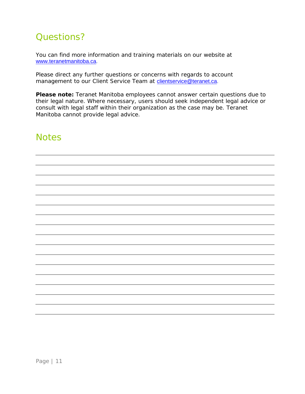# <span id="page-10-0"></span>Questions?

You can find more information and training materials on our website at [www.teranetmanitoba.ca.](http://www.teranetmanitoba.ca/)

Please direct any further questions or concerns with regards to account management to our Client Service Team at [clientservice@teranet.ca.](mailto:clientservice@teranet.ca)

**Please note:** Teranet Manitoba employees cannot answer certain questions due to their legal nature. Where necessary, users should seek independent legal advice or consult with legal staff within their organization as the case may be. Teranet Manitoba cannot provide legal advice.

# <span id="page-10-1"></span>**Notes**